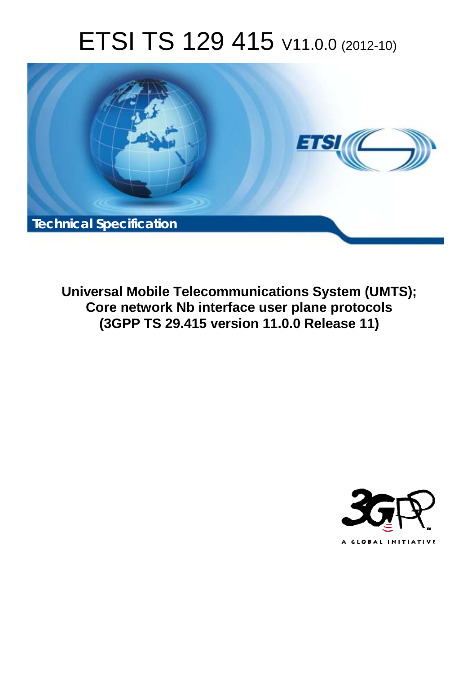# ETSI TS 129 415 V11.0.0 (2012-10)



**Universal Mobile Telecommunications System (UMTS); Core network Nb interface user plane protocols (3GPP TS 29.415 version 11.0.0 Release 11)** 

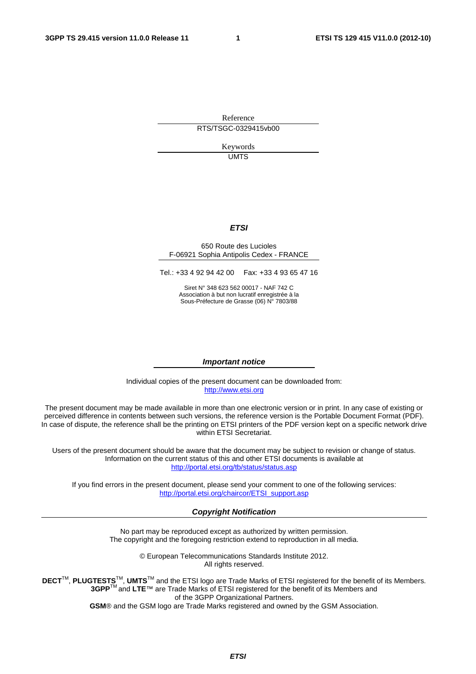Reference RTS/TSGC-0329415vb00

> Keywords UMTS

#### *ETSI*

#### 650 Route des Lucioles F-06921 Sophia Antipolis Cedex - FRANCE

Tel.: +33 4 92 94 42 00 Fax: +33 4 93 65 47 16

Siret N° 348 623 562 00017 - NAF 742 C Association à but non lucratif enregistrée à la Sous-Préfecture de Grasse (06) N° 7803/88

#### *Important notice*

Individual copies of the present document can be downloaded from: [http://www.etsi.org](http://www.etsi.org/)

The present document may be made available in more than one electronic version or in print. In any case of existing or perceived difference in contents between such versions, the reference version is the Portable Document Format (PDF). In case of dispute, the reference shall be the printing on ETSI printers of the PDF version kept on a specific network drive within ETSI Secretariat.

Users of the present document should be aware that the document may be subject to revision or change of status. Information on the current status of this and other ETSI documents is available at <http://portal.etsi.org/tb/status/status.asp>

If you find errors in the present document, please send your comment to one of the following services: [http://portal.etsi.org/chaircor/ETSI\\_support.asp](http://portal.etsi.org/chaircor/ETSI_support.asp)

#### *Copyright Notification*

No part may be reproduced except as authorized by written permission. The copyright and the foregoing restriction extend to reproduction in all media.

> © European Telecommunications Standards Institute 2012. All rights reserved.

DECT<sup>™</sup>, PLUGTESTS<sup>™</sup>, UMTS<sup>™</sup> and the ETSI logo are Trade Marks of ETSI registered for the benefit of its Members. **3GPP**TM and **LTE**™ are Trade Marks of ETSI registered for the benefit of its Members and of the 3GPP Organizational Partners.

**GSM**® and the GSM logo are Trade Marks registered and owned by the GSM Association.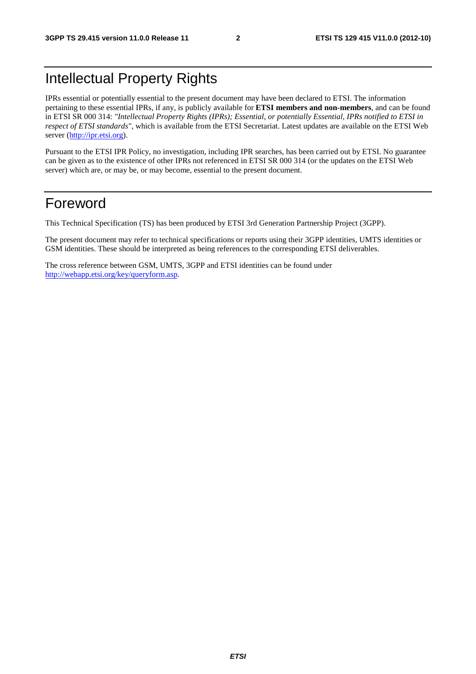# Intellectual Property Rights

IPRs essential or potentially essential to the present document may have been declared to ETSI. The information pertaining to these essential IPRs, if any, is publicly available for **ETSI members and non-members**, and can be found in ETSI SR 000 314: *"Intellectual Property Rights (IPRs); Essential, or potentially Essential, IPRs notified to ETSI in respect of ETSI standards"*, which is available from the ETSI Secretariat. Latest updates are available on the ETSI Web server [\(http://ipr.etsi.org\)](http://webapp.etsi.org/IPR/home.asp).

Pursuant to the ETSI IPR Policy, no investigation, including IPR searches, has been carried out by ETSI. No guarantee can be given as to the existence of other IPRs not referenced in ETSI SR 000 314 (or the updates on the ETSI Web server) which are, or may be, or may become, essential to the present document.

# Foreword

This Technical Specification (TS) has been produced by ETSI 3rd Generation Partnership Project (3GPP).

The present document may refer to technical specifications or reports using their 3GPP identities, UMTS identities or GSM identities. These should be interpreted as being references to the corresponding ETSI deliverables.

The cross reference between GSM, UMTS, 3GPP and ETSI identities can be found under [http://webapp.etsi.org/key/queryform.asp.](http://webapp.etsi.org/key/queryform.asp)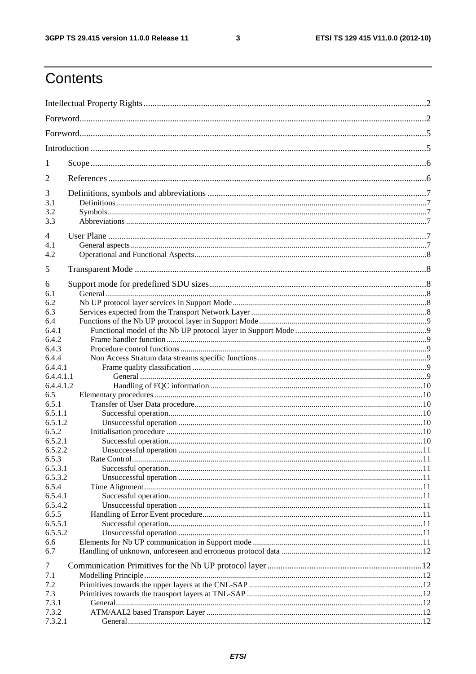$\mathbf{3}$ 

# Contents

| 1                  |  |  |  |  |
|--------------------|--|--|--|--|
| 2                  |  |  |  |  |
| 3                  |  |  |  |  |
| 3.1                |  |  |  |  |
| 3.2<br>3.3         |  |  |  |  |
|                    |  |  |  |  |
| $\overline{4}$     |  |  |  |  |
| 4.1                |  |  |  |  |
| 4.2                |  |  |  |  |
| 5                  |  |  |  |  |
|                    |  |  |  |  |
| 6                  |  |  |  |  |
| 6.1<br>6.2         |  |  |  |  |
| 6.3                |  |  |  |  |
| 6.4                |  |  |  |  |
| 6.4.1              |  |  |  |  |
| 6.4.2              |  |  |  |  |
| 6.4.3              |  |  |  |  |
| 6.4.4              |  |  |  |  |
| 6.4.4.1            |  |  |  |  |
| 6.4.4.1.1          |  |  |  |  |
| 6.4.4.1.2          |  |  |  |  |
| 6.5                |  |  |  |  |
| 6.5.1              |  |  |  |  |
| 6.5.1.1<br>6.5.1.2 |  |  |  |  |
| 6.5.2              |  |  |  |  |
| 6.5.2.1            |  |  |  |  |
| 6.5.2.2            |  |  |  |  |
| 6.5.3              |  |  |  |  |
| 6.5.3.1            |  |  |  |  |
| 6.5.3.2            |  |  |  |  |
| 6.5.4              |  |  |  |  |
| 6.5.4.1            |  |  |  |  |
| 6.5.4.2            |  |  |  |  |
| 6.5.5<br>6.5.5.1   |  |  |  |  |
| 6.5.5.2            |  |  |  |  |
| 6.6                |  |  |  |  |
| 6.7                |  |  |  |  |
|                    |  |  |  |  |
| 7                  |  |  |  |  |
| 7.1<br>7.2         |  |  |  |  |
| 7.3                |  |  |  |  |
| 7.3.1              |  |  |  |  |
| 7.3.2              |  |  |  |  |
| 7.3.2.1            |  |  |  |  |
|                    |  |  |  |  |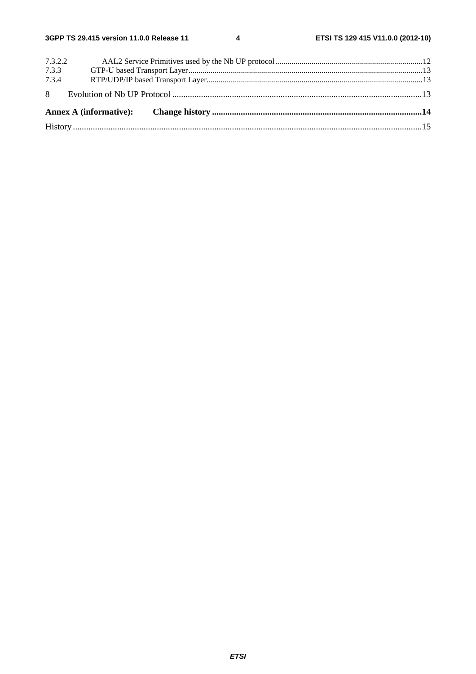| 7.3.2.2 |  |  |  |  |  |  |
|---------|--|--|--|--|--|--|
| 7.3.3   |  |  |  |  |  |  |
|         |  |  |  |  |  |  |
|         |  |  |  |  |  |  |
|         |  |  |  |  |  |  |
|         |  |  |  |  |  |  |
|         |  |  |  |  |  |  |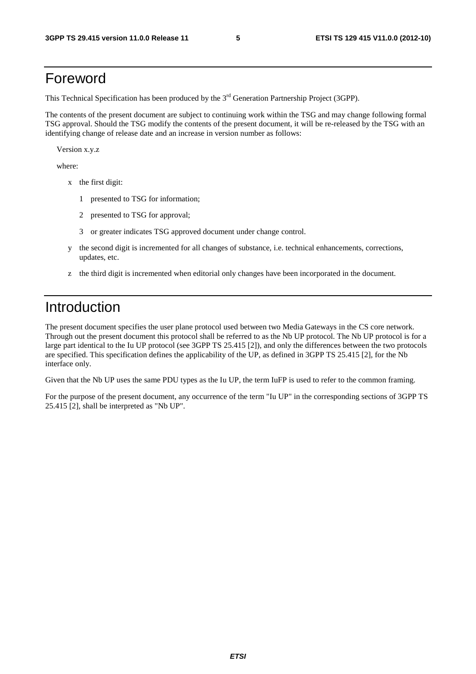# Foreword

This Technical Specification has been produced by the 3<sup>rd</sup> Generation Partnership Project (3GPP).

The contents of the present document are subject to continuing work within the TSG and may change following formal TSG approval. Should the TSG modify the contents of the present document, it will be re-released by the TSG with an identifying change of release date and an increase in version number as follows:

Version x.y.z

where:

- x the first digit:
	- 1 presented to TSG for information;
	- 2 presented to TSG for approval;
	- 3 or greater indicates TSG approved document under change control.
- y the second digit is incremented for all changes of substance, i.e. technical enhancements, corrections, updates, etc.
- z the third digit is incremented when editorial only changes have been incorporated in the document.

# Introduction

The present document specifies the user plane protocol used between two Media Gateways in the CS core network. Through out the present document this protocol shall be referred to as the Nb UP protocol. The Nb UP protocol is for a large part identical to the Iu UP protocol (see 3GPP TS 25.415 [2]), and only the differences between the two protocols are specified. This specification defines the applicability of the UP, as defined in 3GPP TS 25.415 [2], for the Nb interface only.

Given that the Nb UP uses the same PDU types as the Iu UP, the term IuFP is used to refer to the common framing.

For the purpose of the present document, any occurrence of the term "Iu UP" in the corresponding sections of 3GPP TS 25.415 [2], shall be interpreted as "Nb UP".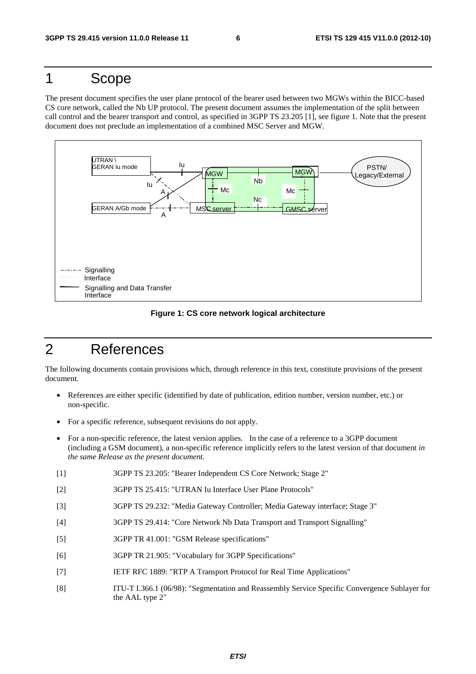# 1 Scope

The present document specifies the user plane protocol of the bearer used between two MGWs within the BICC-based CS core network, called the Nb UP protocol. The present document assumes the implementation of the split between call control and the bearer transport and control, as specified in 3GPP TS 23.205 [1], see figure 1. Note that the present document does not preclude an implementation of a combined MSC Server and MGW.



#### **Figure 1: CS core network logical architecture**

# 2 References

The following documents contain provisions which, through reference in this text, constitute provisions of the present document.

- References are either specific (identified by date of publication, edition number, version number, etc.) or non-specific.
- For a specific reference, subsequent revisions do not apply.
- For a non-specific reference, the latest version applies. In the case of a reference to a 3GPP document (including a GSM document), a non-specific reference implicitly refers to the latest version of that document *in the same Release as the present document*.
- [1] 3GPP TS 23.205: "Bearer Independent CS Core Network; Stage 2"
- [2] 3GPP TS 25.415: "UTRAN Iu Interface User Plane Protocols"
- [3] 3GPP TS 29.232: "Media Gateway Controller; Media Gateway interface; Stage 3"
- [4] 3GPP TS 29.414: "Core Network Nb Data Transport and Transport Signalling"
- [5] 3GPP TR 41.001: "GSM Release specifications"
- [6] 3GPP TR 21.905: "Vocabulary for 3GPP Specifications"
- [7] IETF RFC 1889: "RTP A Transport Protocol for Real Time Applications"
- [8] ITU-T I.366.1 (06/98): "Segmentation and Reassembly Service Specific Convergence Sublayer for the AAL type 2"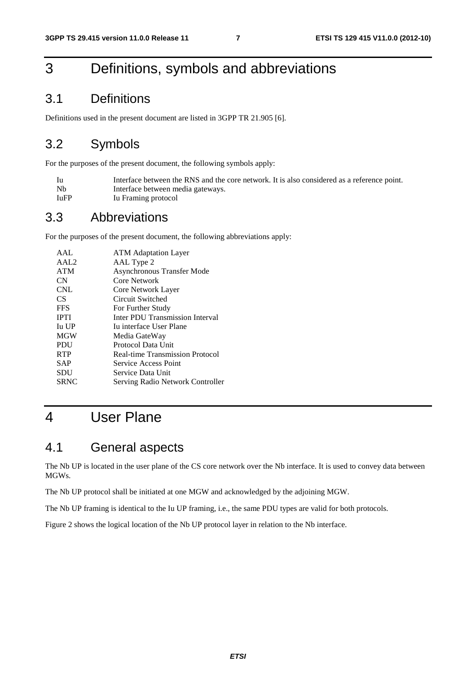# 3 Definitions, symbols and abbreviations

# 3.1 Definitions

Definitions used in the present document are listed in 3GPP TR 21.905 [6].

# 3.2 Symbols

For the purposes of the present document, the following symbols apply:

| - Iu | Interface between the RNS and the core network. It is also considered as a reference point. |
|------|---------------------------------------------------------------------------------------------|
| - Nb | Interface between media gateways.                                                           |
| IuFP | Iu Framing protocol                                                                         |

### 3.3 Abbreviations

For the purposes of the present document, the following abbreviations apply:

| <b>ATM</b> Adaptation Layer            |
|----------------------------------------|
| AAL Type 2                             |
| <b>Asynchronous Transfer Mode</b>      |
| Core Network                           |
| Core Network Layer                     |
| Circuit Switched                       |
| For Further Study                      |
| Inter PDU Transmission Interval        |
| Iu interface User Plane                |
| Media GateWay                          |
| Protocol Data Unit                     |
| <b>Real-time Transmission Protocol</b> |
| Service Access Point                   |
| Service Data Unit                      |
| Serving Radio Network Controller       |
|                                        |

# 4 User Plane

## 4.1 General aspects

The Nb UP is located in the user plane of the CS core network over the Nb interface. It is used to convey data between MGWs.

The Nb UP protocol shall be initiated at one MGW and acknowledged by the adjoining MGW.

The Nb UP framing is identical to the Iu UP framing, i.e., the same PDU types are valid for both protocols.

Figure 2 shows the logical location of the Nb UP protocol layer in relation to the Nb interface.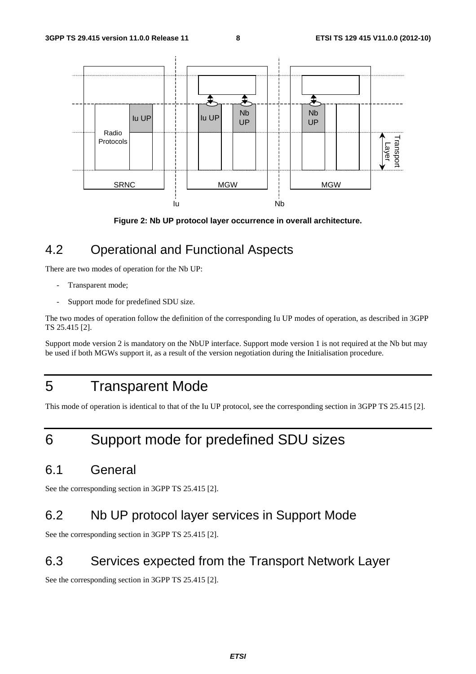

**Figure 2: Nb UP protocol layer occurrence in overall architecture.** 

# 4.2 Operational and Functional Aspects

There are two modes of operation for the Nb UP:

- Transparent mode;
- Support mode for predefined SDU size.

The two modes of operation follow the definition of the corresponding Iu UP modes of operation, as described in 3GPP TS 25.415 [2].

Support mode version 2 is mandatory on the NbUP interface. Support mode version 1 is not required at the Nb but may be used if both MGWs support it, as a result of the version negotiation during the Initialisation procedure.

# 5 Transparent Mode

This mode of operation is identical to that of the Iu UP protocol, see the corresponding section in 3GPP TS 25.415 [2].

# 6 Support mode for predefined SDU sizes

# 6.1 General

See the corresponding section in 3GPP TS 25.415 [2].

# 6.2 Nb UP protocol layer services in Support Mode

See the corresponding section in 3GPP TS 25.415 [2].

# 6.3 Services expected from the Transport Network Layer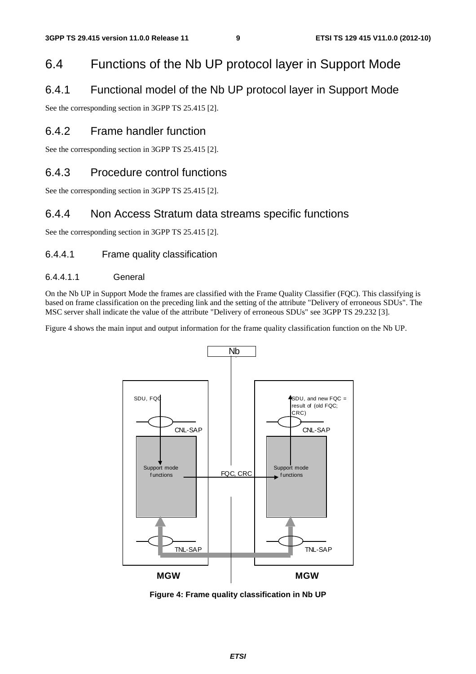# 6.4 Functions of the Nb UP protocol layer in Support Mode

### 6.4.1 Functional model of the Nb UP protocol layer in Support Mode

See the corresponding section in 3GPP TS 25.415 [2].

### 6.4.2 Frame handler function

See the corresponding section in 3GPP TS 25.415 [2].

### 6.4.3 Procedure control functions

See the corresponding section in 3GPP TS 25.415 [2].

### 6.4.4 Non Access Stratum data streams specific functions

See the corresponding section in 3GPP TS 25.415 [2].

#### 6.4.4.1 Frame quality classification

#### 6.4.4.1.1 General

On the Nb UP in Support Mode the frames are classified with the Frame Quality Classifier (FQC). This classifying is based on frame classification on the preceding link and the setting of the attribute "Delivery of erroneous SDUs". The MSC server shall indicate the value of the attribute "Delivery of erroneous SDUs" see 3GPP TS 29.232 [3].

Figure 4 shows the main input and output information for the frame quality classification function on the Nb UP.



**Figure 4: Frame quality classification in Nb UP**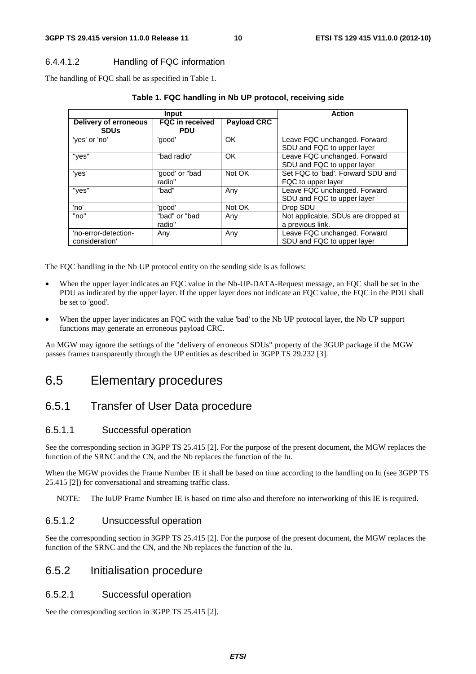#### 6.4.4.1.2 Handling of FQC information

The handling of FQC shall be as specified in Table 1.

|                                        | Input                                | <b>Action</b>      |                                                            |
|----------------------------------------|--------------------------------------|--------------------|------------------------------------------------------------|
| Delivery of erroneous<br><b>SDUs</b>   | <b>FQC</b> in received<br><b>PDU</b> | <b>Payload CRC</b> |                                                            |
| 'yes' or 'no'                          | 'good'                               | <b>OK</b>          | Leave FQC unchanged. Forward<br>SDU and FQC to upper layer |
| "yes"                                  | "bad radio"                          | OK                 | Leave FQC unchanged. Forward<br>SDU and FQC to upper layer |
| 'yes'                                  | 'good' or "bad<br>radio"             | Not OK             | Set FQC to 'bad'. Forward SDU and<br>FQC to upper layer    |
| "yes"                                  | "bad"                                | Anv                | Leave FQC unchanged. Forward<br>SDU and FQC to upper layer |
| 'no'                                   | 'good'                               | Not OK             | Drop SDU                                                   |
| "no"                                   | "bad" or "bad<br>radio"              | Any                | Not applicable. SDUs are dropped at<br>a previous link.    |
| 'no-error-detection-<br>consideration' | Any                                  | Any                | Leave FQC unchanged. Forward<br>SDU and FQC to upper layer |

#### **Table 1. FQC handling in Nb UP protocol, receiving side**

The FQC handling in the Nb UP protocol entity on the sending side is as follows:

- When the upper layer indicates an FQC value in the Nb-UP-DATA-Request message, an FQC shall be set in the PDU as indicated by the upper layer. If the upper layer does not indicate an FQC value, the FQC in the PDU shall be set to 'good'.
- When the upper layer indicates an FQC with the value 'bad' to the Nb UP protocol layer, the Nb UP support functions may generate an erroneous payload CRC.

An MGW may ignore the settings of the "delivery of erroneous SDUs" property of the 3GUP package if the MGW passes frames transparently through the UP entities as described in 3GPP TS 29.232 [3].

# 6.5 Elementary procedures

### 6.5.1 Transfer of User Data procedure

#### 6.5.1.1 Successful operation

See the corresponding section in 3GPP TS 25.415 [2]. For the purpose of the present document, the MGW replaces the function of the SRNC and the CN, and the Nb replaces the function of the Iu.

When the MGW provides the Frame Number IE it shall be based on time according to the handling on Iu (see 3GPP TS 25.415 [2]) for conversational and streaming traffic class.

NOTE: The IuUP Frame Number IE is based on time also and therefore no interworking of this IE is required.

#### 6.5.1.2 Unsuccessful operation

See the corresponding section in 3GPP TS 25.415 [2]. For the purpose of the present document, the MGW replaces the function of the SRNC and the CN, and the Nb replaces the function of the Iu.

#### 6.5.2 Initialisation procedure

#### 6.5.2.1 Successful operation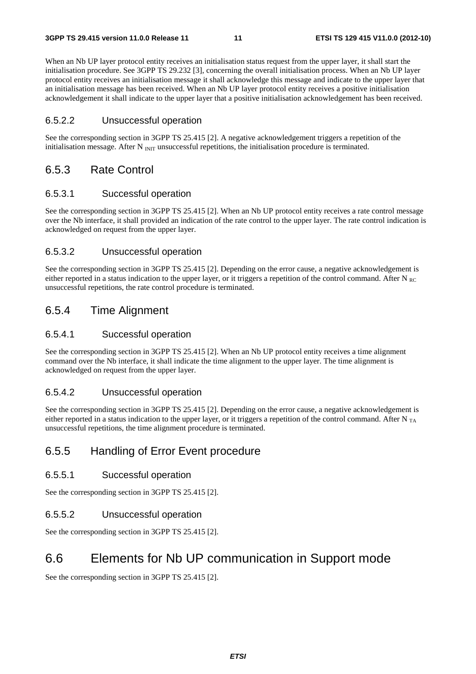When an Nb UP layer protocol entity receives an initialisation status request from the upper layer, it shall start the initialisation procedure. See 3GPP TS 29.232 [3], concerning the overall initialisation process. When an Nb UP layer protocol entity receives an initialisation message it shall acknowledge this message and indicate to the upper layer that an initialisation message has been received. When an Nb UP layer protocol entity receives a positive initialisation acknowledgement it shall indicate to the upper layer that a positive initialisation acknowledgement has been received.

#### 6.5.2.2 Unsuccessful operation

See the corresponding section in 3GPP TS 25.415 [2]. A negative acknowledgement triggers a repetition of the initialisation message. After N  $_{\text{INT}}$  unsuccessful repetitions, the initialisation procedure is terminated.

#### 6.5.3 Rate Control

#### 6.5.3.1 Successful operation

See the corresponding section in 3GPP TS 25.415 [2]. When an Nb UP protocol entity receives a rate control message over the Nb interface, it shall provided an indication of the rate control to the upper layer. The rate control indication is acknowledged on request from the upper layer.

#### 6.5.3.2 Unsuccessful operation

See the corresponding section in 3GPP TS 25.415 [2]. Depending on the error cause, a negative acknowledgement is either reported in a status indication to the upper layer, or it triggers a repetition of the control command. After  $N_{BC}$ unsuccessful repetitions, the rate control procedure is terminated.

#### 6.5.4 Time Alignment

#### 6.5.4.1 Successful operation

See the corresponding section in 3GPP TS 25.415 [2]. When an Nb UP protocol entity receives a time alignment command over the Nb interface, it shall indicate the time alignment to the upper layer. The time alignment is acknowledged on request from the upper layer.

#### 6.5.4.2 Unsuccessful operation

See the corresponding section in 3GPP TS 25.415 [2]. Depending on the error cause, a negative acknowledgement is either reported in a status indication to the upper layer, or it triggers a repetition of the control command. After  $N_{TA}$ unsuccessful repetitions, the time alignment procedure is terminated.

#### 6.5.5 Handling of Error Event procedure

#### 6.5.5.1 Successful operation

See the corresponding section in 3GPP TS 25.415 [2].

#### 6.5.5.2 Unsuccessful operation

See the corresponding section in 3GPP TS 25.415 [2].

# 6.6 Elements for Nb UP communication in Support mode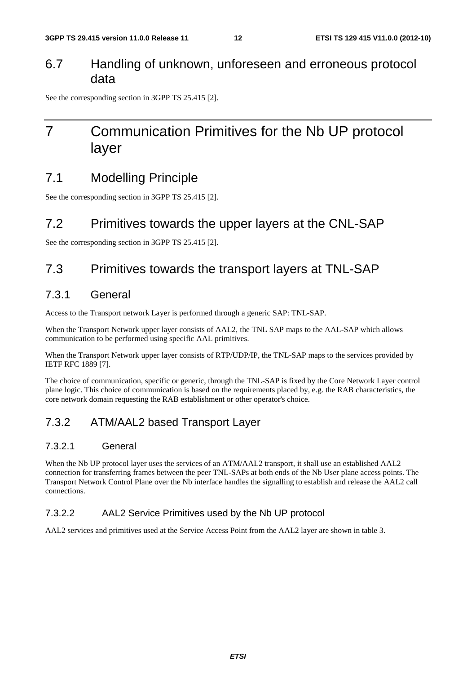### 6.7 Handling of unknown, unforeseen and erroneous protocol data

See the corresponding section in 3GPP TS 25.415 [2].

# 7 Communication Primitives for the Nb UP protocol layer

# 7.1 Modelling Principle

See the corresponding section in 3GPP TS 25.415 [2].

### 7.2 Primitives towards the upper layers at the CNL-SAP

See the corresponding section in 3GPP TS 25.415 [2].

# 7.3 Primitives towards the transport layers at TNL-SAP

### 7.3.1 General

Access to the Transport network Layer is performed through a generic SAP: TNL-SAP.

When the Transport Network upper layer consists of AAL2, the TNL SAP maps to the AAL-SAP which allows communication to be performed using specific AAL primitives.

When the Transport Network upper layer consists of RTP/UDP/IP, the TNL-SAP maps to the services provided by IETF RFC 1889 [7].

The choice of communication, specific or generic, through the TNL-SAP is fixed by the Core Network Layer control plane logic. This choice of communication is based on the requirements placed by, e.g. the RAB characteristics, the core network domain requesting the RAB establishment or other operator's choice.

### 7.3.2 ATM/AAL2 based Transport Layer

#### 7.3.2.1 General

When the Nb UP protocol layer uses the services of an ATM/AAL2 transport, it shall use an established AAL2 connection for transferring frames between the peer TNL-SAPs at both ends of the Nb User plane access points. The Transport Network Control Plane over the Nb interface handles the signalling to establish and release the AAL2 call connections.

#### 7.3.2.2 AAL2 Service Primitives used by the Nb UP protocol

AAL2 services and primitives used at the Service Access Point from the AAL2 layer are shown in table 3.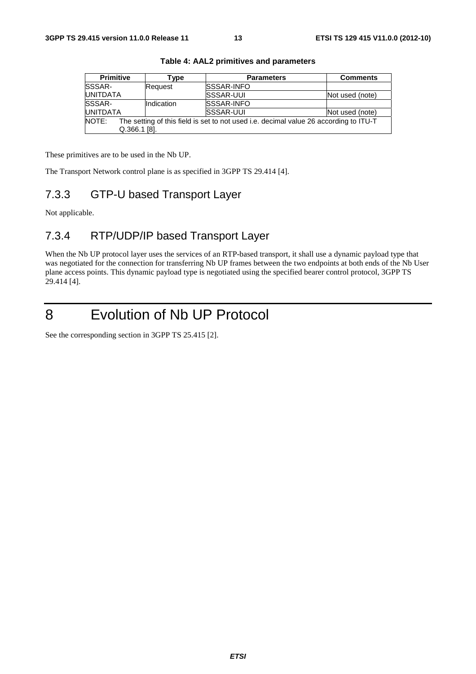| <b>Primitive</b>                                                                               | Type       | <b>Parameters</b> | <b>Comments</b> |  |  |
|------------------------------------------------------------------------------------------------|------------|-------------------|-----------------|--|--|
| SSSAR-                                                                                         | Request    | <b>SSSAR-INFO</b> |                 |  |  |
| <b>UNITDATA</b>                                                                                |            | <b>SSSAR-UUI</b>  | Not used (note) |  |  |
| SSSAR-                                                                                         | Indication | <b>SSSAR-INFO</b> |                 |  |  |
| <b>UNITDATA</b>                                                                                |            | <b>SSSAR-UUI</b>  | Not used (note) |  |  |
| NOTE:<br>The setting of this field is set to not used i.e. decimal value 26 according to ITU-T |            |                   |                 |  |  |
| $Q.366.1$ [8].                                                                                 |            |                   |                 |  |  |

**Table 4: AAL2 primitives and parameters** 

These primitives are to be used in the Nb UP.

The Transport Network control plane is as specified in 3GPP TS 29.414 [4].

### 7.3.3 GTP-U based Transport Layer

Not applicable.

# 7.3.4 RTP/UDP/IP based Transport Layer

When the Nb UP protocol layer uses the services of an RTP-based transport, it shall use a dynamic payload type that was negotiated for the connection for transferring Nb UP frames between the two endpoints at both ends of the Nb User plane access points. This dynamic payload type is negotiated using the specified bearer control protocol, 3GPP TS 29.414 [4].

# 8 Evolution of Nb UP Protocol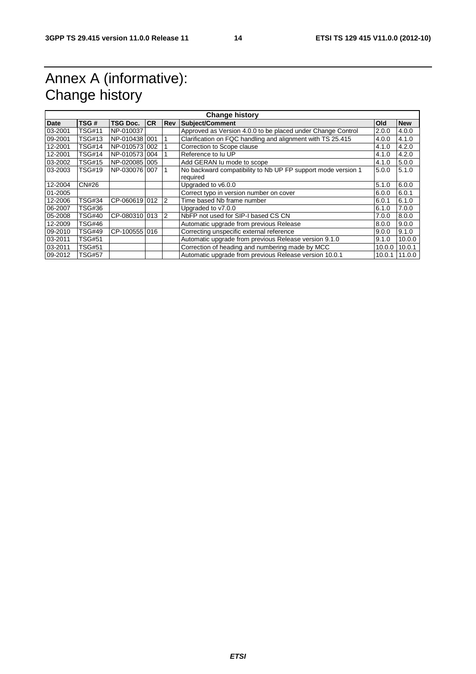# Annex A (informative): Change history

| <b>Change history</b> |               |               |           |            |                                                              |            |            |
|-----------------------|---------------|---------------|-----------|------------|--------------------------------------------------------------|------------|------------|
| <b>Date</b>           | TSG#          | TSG Doc.      | <b>CR</b> | <b>Rev</b> | Subject/Comment                                              | <b>Old</b> | <b>New</b> |
| 03-2001               | TSG#11        | NP-010037     |           |            | Approved as Version 4.0.0 to be placed under Change Control  | 2.0.0      | 4.0.0      |
| 09-2001               | TSG#13        | NP-0104381001 |           |            | Clarification on FQC handling and alignment with TS 25.415   | 4.0.0      | 4.1.0      |
| 12-2001               | TSG#14        | NP-0105731002 |           |            | Correction to Scope clause                                   | 4.1.0      | 4.2.0      |
| 12-2001               | TSG#14        | NP-0105731004 |           |            | Reference to Ju UP                                           | 4.1.0      | 4.2.0      |
| 03-2002               | TSG#15        | NP-0200851005 |           |            | Add GERAN Iu mode to scope                                   | 4.1.0      | 5.0.0      |
| 03-2003               | TSG#19        | NP-0300761007 |           |            | No backward compatibility to Nb UP FP support mode version 1 | 5.0.0      | 5.1.0      |
|                       |               |               |           |            | required                                                     |            |            |
| 12-2004               | <b>CN#26</b>  |               |           |            | Upgraded to v6.0.0                                           | 5.1.0      | 6.0.0      |
| 01-2005               |               |               |           |            | Correct typo in version number on cover                      | 6.0.0      | 6.0.1      |
| 12-2006               | TSG#34        | CP-060619 012 |           | 2          | Time based Nb frame number                                   | 6.0.1      | 6.1.0      |
| 06-2007               | TSG#36        |               |           |            | Upgraded to v7.0.0                                           | 6.1.0      | 7.0.0      |
| 05-2008               | TSG#40        | CP-080310 013 |           | 2          | NbFP not used for SIP-I based CS CN                          | 7.0.0      | 8.0.0      |
| 12-2009               | TSG#46        |               |           |            | Automatic upgrade from previous Release                      | 8.0.0      | 9.0.0      |
| 09-2010               | TSG#49        | CP-100555 016 |           |            | Correcting unspecific external reference                     | 9.0.0      | 9.1.0      |
| 03-2011               | TSG#51        |               |           |            | Automatic upgrade from previous Release version 9.1.0        | 9.1.0      | 10.0.0     |
| 03-2011               | TSG#51        |               |           |            | Correction of heading and numbering made by MCC              | 10.0.0     | 10.0.1     |
| 09-2012               | <b>TSG#57</b> |               |           |            | Automatic upgrade from previous Release version 10.0.1       | 10.0.1     | 11.0.0     |